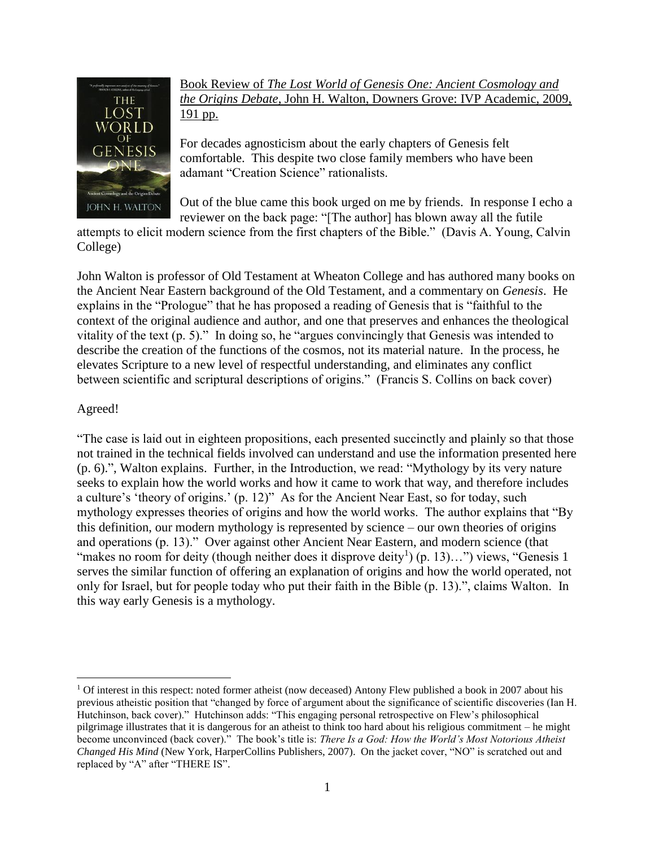

Book Review of *The Lost World of Genesis One: Ancient Cosmology and the Origins Debate*, John H. Walton, Downers Grove: IVP Academic, 2009, 191 pp.

For decades agnosticism about the early chapters of Genesis felt comfortable. This despite two close family members who have been adamant "Creation Science" rationalists.

Out of the blue came this book urged on me by friends. In response I echo a reviewer on the back page: "[The author] has blown away all the futile

attempts to elicit modern science from the first chapters of the Bible." (Davis A. Young, Calvin College)

John Walton is professor of Old Testament at Wheaton College and has authored many books on the Ancient Near Eastern background of the Old Testament, and a commentary on *Genesis*. He explains in the "Prologue" that he has proposed a reading of Genesis that is "faithful to the context of the original audience and author, and one that preserves and enhances the theological vitality of the text (p. 5)." In doing so, he "argues convincingly that Genesis was intended to describe the creation of the functions of the cosmos, not its material nature. In the process, he elevates Scripture to a new level of respectful understanding, and eliminates any conflict between scientific and scriptural descriptions of origins." (Francis S. Collins on back cover)

## Agreed!

"The case is laid out in eighteen propositions, each presented succinctly and plainly so that those not trained in the technical fields involved can understand and use the information presented here (p. 6).", Walton explains. Further, in the Introduction, we read: "Mythology by its very nature seeks to explain how the world works and how it came to work that way, and therefore includes a culture's 'theory of origins.' (p. 12)" As for the Ancient Near East, so for today, such mythology expresses theories of origins and how the world works. The author explains that "By this definition, our modern mythology is represented by science – our own theories of origins and operations (p. 13)." Over against other Ancient Near Eastern, and modern science (that "makes no room for deity (though neither does it disprove deity<sup>1</sup>) (p. 13)...") views, "Genesis 1 serves the similar function of offering an explanation of origins and how the world operated, not only for Israel, but for people today who put their faith in the Bible (p. 13).", claims Walton. In this way early Genesis is a mythology.

 $\overline{a}$  $1$  Of interest in this respect: noted former atheist (now deceased) Antony Flew published a book in 2007 about his previous atheistic position that "changed by force of argument about the significance of scientific discoveries (Ian H. Hutchinson, back cover)." Hutchinson adds: "This engaging personal retrospective on Flew's philosophical pilgrimage illustrates that it is dangerous for an atheist to think too hard about his religious commitment – he might become unconvinced (back cover)." The book's title is: *There Is a God: How the World's Most Notorious Atheist Changed His Mind* (New York, HarperCollins Publishers, 2007). On the jacket cover, "NO" is scratched out and replaced by "A" after "THERE IS".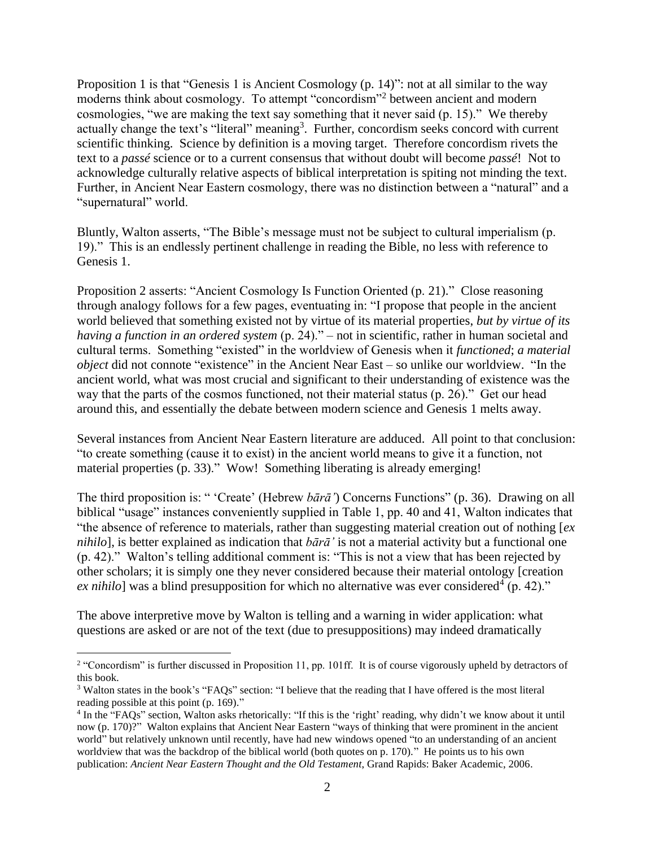Proposition 1 is that "Genesis 1 is Ancient Cosmology (p. 14)": not at all similar to the way moderns think about cosmology. To attempt "concordism"<sup>2</sup> between ancient and modern cosmologies, "we are making the text say something that it never said (p. 15)." We thereby actually change the text's "literal" meaning<sup>3</sup>. Further, concordism seeks concord with current scientific thinking. Science by definition is a moving target. Therefore concordism rivets the text to a *passé* science or to a current consensus that without doubt will become *passé*! Not to acknowledge culturally relative aspects of biblical interpretation is spiting not minding the text. Further, in Ancient Near Eastern cosmology, there was no distinction between a "natural" and a "supernatural" world.

Bluntly, Walton asserts, "The Bible's message must not be subject to cultural imperialism (p. 19)." This is an endlessly pertinent challenge in reading the Bible, no less with reference to Genesis 1.

Proposition 2 asserts: "Ancient Cosmology Is Function Oriented (p. 21)." Close reasoning through analogy follows for a few pages, eventuating in: "I propose that people in the ancient world believed that something existed not by virtue of its material properties, *but by virtue of its having a function in an ordered system* (p. 24)." – not in scientific, rather in human societal and cultural terms. Something "existed" in the worldview of Genesis when it *functioned*; *a material object* did not connote "existence" in the Ancient Near East – so unlike our worldview. "In the ancient world, what was most crucial and significant to their understanding of existence was the way that the parts of the cosmos functioned, not their material status (p. 26)." Get our head around this, and essentially the debate between modern science and Genesis 1 melts away.

Several instances from Ancient Near Eastern literature are adduced. All point to that conclusion: "to create something (cause it to exist) in the ancient world means to give it a function, not material properties (p. 33)." Wow! Something liberating is already emerging!

The third proposition is: " 'Create' (Hebrew *bārā'*) Concerns Functions" (p. 36). Drawing on all biblical "usage" instances conveniently supplied in Table 1, pp. 40 and 41, Walton indicates that "the absence of reference to materials, rather than suggesting material creation out of nothing [*ex nihilo*], is better explained as indication that *bārā'* is not a material activity but a functional one (p. 42)." Walton's telling additional comment is: "This is not a view that has been rejected by other scholars; it is simply one they never considered because their material ontology [creation  $ex\,nihilo]$  was a blind presupposition for which no alternative was ever considered<sup>4</sup> (p. 42)."

The above interpretive move by Walton is telling and a warning in wider application: what questions are asked or are not of the text (due to presuppositions) may indeed dramatically

 $\overline{a}$ 

<sup>&</sup>lt;sup>2</sup> "Concordism" is further discussed in Proposition 11, pp. 101ff. It is of course vigorously upheld by detractors of this book.

<sup>&</sup>lt;sup>3</sup> Walton states in the book's "FAQs" section: "I believe that the reading that I have offered is the most literal reading possible at this point (p. 169)."

<sup>&</sup>lt;sup>4</sup> In the "FAQs" section, Walton asks rhetorically: "If this is the 'right' reading, why didn't we know about it until now (p. 170)?" Walton explains that Ancient Near Eastern "ways of thinking that were prominent in the ancient world" but relatively unknown until recently, have had new windows opened "to an understanding of an ancient worldview that was the backdrop of the biblical world (both quotes on p. 170)." He points us to his own publication: *Ancient Near Eastern Thought and the Old Testament*, Grand Rapids: Baker Academic, 2006.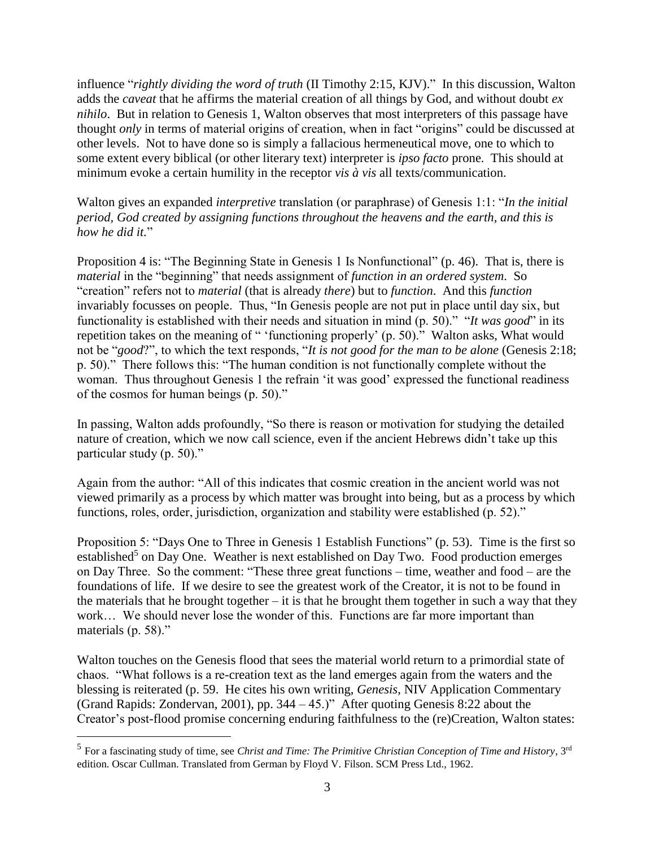influence "*rightly dividing the word of truth* (II Timothy 2:15, KJV)." In this discussion, Walton adds the *caveat* that he affirms the material creation of all things by God, and without doubt *ex nihilo*. But in relation to Genesis 1, Walton observes that most interpreters of this passage have thought *only* in terms of material origins of creation, when in fact "origins" could be discussed at other levels. Not to have done so is simply a fallacious hermeneutical move, one to which to some extent every biblical (or other literary text) interpreter is *ipso facto* prone. This should at minimum evoke a certain humility in the receptor *vis à vis* all texts/communication.

Walton gives an expanded *interpretive* translation (or paraphrase) of Genesis 1:1: "*In the initial period, God created by assigning functions throughout the heavens and the earth, and this is how he did it.*"

Proposition 4 is: "The Beginning State in Genesis 1 Is Nonfunctional" (p. 46). That is, there is *material* in the "beginning" that needs assignment of *function in an ordered system*. So "creation" refers not to *material* (that is already *there*) but to *function*. And this *function*  invariably focusses on people. Thus, "In Genesis people are not put in place until day six, but functionality is established with their needs and situation in mind (p. 50)." "*It was good*" in its repetition takes on the meaning of " 'functioning properly' (p. 50)." Walton asks, What would not be "*good*?", to which the text responds, "*It is not good for the man to be alone* (Genesis 2:18; p. 50)." There follows this: "The human condition is not functionally complete without the woman. Thus throughout Genesis 1 the refrain 'it was good' expressed the functional readiness of the cosmos for human beings (p. 50)."

In passing, Walton adds profoundly, "So there is reason or motivation for studying the detailed nature of creation, which we now call science, even if the ancient Hebrews didn't take up this particular study (p. 50)."

Again from the author: "All of this indicates that cosmic creation in the ancient world was not viewed primarily as a process by which matter was brought into being, but as a process by which functions, roles, order, jurisdiction, organization and stability were established (p. 52)."

Proposition 5: "Days One to Three in Genesis 1 Establish Functions" (p. 53). Time is the first so established<sup>5</sup> on Day One. Weather is next established on Day Two. Food production emerges on Day Three. So the comment: "These three great functions – time, weather and food – are the foundations of life. If we desire to see the greatest work of the Creator, it is not to be found in the materials that he brought together – it is that he brought them together in such a way that they work... We should never lose the wonder of this. Functions are far more important than materials (p. 58)."

Walton touches on the Genesis flood that sees the material world return to a primordial state of chaos. "What follows is a re-creation text as the land emerges again from the waters and the blessing is reiterated (p. 59. He cites his own writing, *Genesis*, NIV Application Commentary (Grand Rapids: Zondervan, 2001), pp. 344 – 45.)" After quoting Genesis 8:22 about the Creator's post-flood promise concerning enduring faithfulness to the (re)Creation, Walton states:

 $\overline{a}$ 

<sup>&</sup>lt;sup>5</sup> For a fascinating study of time, see *Christ and Time: The Primitive Christian Conception of Time and History*, 3<sup>rd</sup> edition. Oscar Cullman. Translated from German by Floyd V. Filson. SCM Press Ltd., 1962.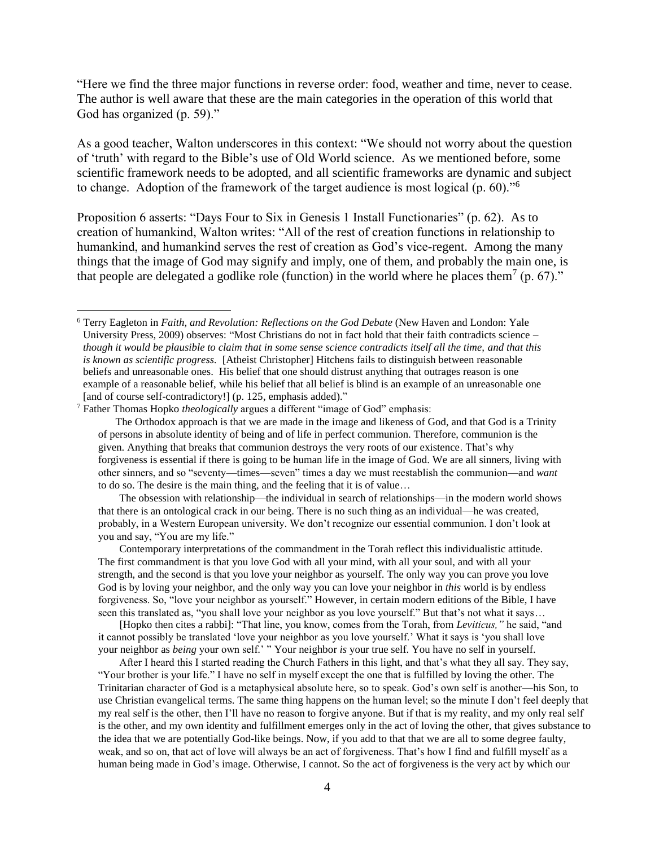"Here we find the three major functions in reverse order: food, weather and time, never to cease. The author is well aware that these are the main categories in the operation of this world that God has organized (p. 59)."

As a good teacher, Walton underscores in this context: "We should not worry about the question of 'truth' with regard to the Bible's use of Old World science. As we mentioned before, some scientific framework needs to be adopted, and all scientific frameworks are dynamic and subject to change. Adoption of the framework of the target audience is most logical (p. 60)."<sup>6</sup>

Proposition 6 asserts: "Days Four to Six in Genesis 1 Install Functionaries" (p. 62). As to creation of humankind, Walton writes: "All of the rest of creation functions in relationship to humankind, and humankind serves the rest of creation as God's vice-regent. Among the many things that the image of God may signify and imply, one of them, and probably the main one, is that people are delegated a godlike role (function) in the world where he places them<sup>7</sup> (p. 67)."

<sup>7</sup> Father Thomas Hopko *theologically* argues a different "image of God" emphasis:

 $\overline{a}$ 

The Orthodox approach is that we are made in the image and likeness of God, and that God is a Trinity of persons in absolute identity of being and of life in perfect communion. Therefore, communion is the given. Anything that breaks that communion destroys the very roots of our existence. That's why forgiveness is essential if there is going to be human life in the image of God. We are all sinners, living with other sinners, and so "seventy—times—seven" times a day we must reestablish the communion—and *want*  to do so. The desire is the main thing, and the feeling that it is of value…

The obsession with relationship—the individual in search of relationships—in the modern world shows that there is an ontological crack in our being. There is no such thing as an individual—he was created, probably, in a Western European university. We don't recognize our essential communion. I don't look at you and say, "You are my life."

Contemporary interpretations of the commandment in the Torah reflect this individualistic attitude. The first commandment is that you love God with all your mind, with all your soul, and with all your strength, and the second is that you love your neighbor as yourself. The only way you can prove you love God is by loving your neighbor, and the only way you can love your neighbor in *this* world is by endless forgiveness. So, "love your neighbor as yourself." However, in certain modern editions of the Bible, I have seen this translated as, "you shall love your neighbor as you love yourself." But that's not what it says...

[Hopko then cites a rabbi]: "That line, you know, comes from the Torah, from *Leviticus,"* he said, "and it cannot possibly be translated 'love your neighbor as you love yourself.' What it says is 'you shall love your neighbor as *being* your own self.' " Your neighbor *is* your true self. You have no self in yourself.

After I heard this I started reading the Church Fathers in this light, and that's what they all say. They say, "Your brother is your life." I have no self in myself except the one that is fulfilled by loving the other. The Trinitarian character of God is a metaphysical absolute here, so to speak. God's own self is another—his Son, to use Christian evangelical terms. The same thing happens on the human level; so the minute I don't feel deeply that my real self is the other, then I'll have no reason to forgive anyone. But if that is my reality, and my only real self is the other, and my own identity and fulfillment emerges only in the act of loving the other, that gives substance to the idea that we are potentially God-like beings. Now, if you add to that that we are all to some degree faulty, weak, and so on, that act of love will always be an act of forgiveness. That's how I find and fulfill myself as a human being made in God's image. Otherwise, I cannot. So the act of forgiveness is the very act by which our

<sup>6</sup> Terry Eagleton in *Faith, and Revolution: Reflections on the God Debate* (New Haven and London: Yale University Press, 2009) observes: "Most Christians do not in fact hold that their faith contradicts science – *though it would be plausible to claim that in some sense science contradicts itself all the time, and that this is known as scientific progress.* [Atheist Christopher] Hitchens fails to distinguish between reasonable beliefs and unreasonable ones. His belief that one should distrust anything that outrages reason is one example of a reasonable belief, while his belief that all belief is blind is an example of an unreasonable one [and of course self-contradictory!] (p. 125, emphasis added)."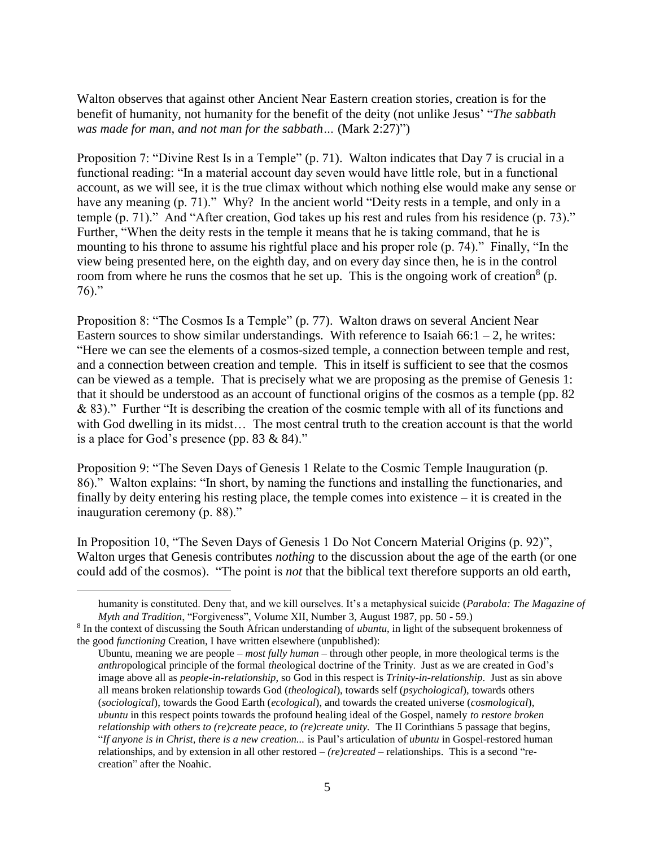Walton observes that against other Ancient Near Eastern creation stories, creation is for the benefit of humanity, not humanity for the benefit of the deity (not unlike Jesus' "*The sabbath was made for man, and not man for the sabbath…* (Mark 2:27)")

Proposition 7: "Divine Rest Is in a Temple" (p. 71). Walton indicates that Day 7 is crucial in a functional reading: "In a material account day seven would have little role, but in a functional account, as we will see, it is the true climax without which nothing else would make any sense or have any meaning (p. 71)." Why? In the ancient world "Deity rests in a temple, and only in a temple (p. 71)." And "After creation, God takes up his rest and rules from his residence (p. 73)." Further, "When the deity rests in the temple it means that he is taking command, that he is mounting to his throne to assume his rightful place and his proper role (p. 74)." Finally, "In the view being presented here, on the eighth day, and on every day since then, he is in the control room from where he runs the cosmos that he set up. This is the ongoing work of creation<sup>8</sup> (p.  $76$ ."

Proposition 8: "The Cosmos Is a Temple" (p. 77). Walton draws on several Ancient Near Eastern sources to show similar understandings. With reference to Isaiah  $66:1 - 2$ , he writes: "Here we can see the elements of a cosmos-sized temple, a connection between temple and rest, and a connection between creation and temple. This in itself is sufficient to see that the cosmos can be viewed as a temple. That is precisely what we are proposing as the premise of Genesis 1: that it should be understood as an account of functional origins of the cosmos as a temple (pp. 82 & 83)." Further "It is describing the creation of the cosmic temple with all of its functions and with God dwelling in its midst... The most central truth to the creation account is that the world is a place for God's presence (pp. 83 & 84)."

Proposition 9: "The Seven Days of Genesis 1 Relate to the Cosmic Temple Inauguration (p. 86)." Walton explains: "In short, by naming the functions and installing the functionaries, and finally by deity entering his resting place, the temple comes into existence – it is created in the inauguration ceremony (p. 88)."

In Proposition 10, "The Seven Days of Genesis 1 Do Not Concern Material Origins (p. 92)", Walton urges that Genesis contributes *nothing* to the discussion about the age of the earth (or one could add of the cosmos). "The point is *not* that the biblical text therefore supports an old earth,

 $\overline{a}$ 

humanity is constituted. Deny that, and we kill ourselves. It's a metaphysical suicide (*Parabola: The Magazine of Myth and Tradition*, "Forgiveness", Volume XII, Number 3, August 1987, pp. 50 - 59.)

<sup>8</sup> In the context of discussing the South African understanding of *ubuntu*, in light of the subsequent brokenness of the good *functioning* Creation, I have written elsewhere (unpublished):

Ubuntu, meaning we are people – *most fully human* – through other people, in more theological terms is the *anthro*pological principle of the formal *the*ological doctrine of the Trinity. Just as we are created in God's image above all as *people-in-relationship*, so God in this respect is *Trinity-in-relationship*. Just as sin above all means broken relationship towards God (*theological*), towards self (*psychological*), towards others (*sociological*), towards the Good Earth (*ecological*), and towards the created universe (*cosmological*), *ubuntu* in this respect points towards the profound healing ideal of the Gospel, namely *to restore broken relationship with others to (re)create peace, to (re)create unity.* The II Corinthians 5 passage that begins, "*If anyone is in Christ, there is a new creation...* is Paul's articulation of *ubuntu* in Gospel-restored human relationships, and by extension in all other restored – *(re)created –* relationships. This is a second "recreation" after the Noahic.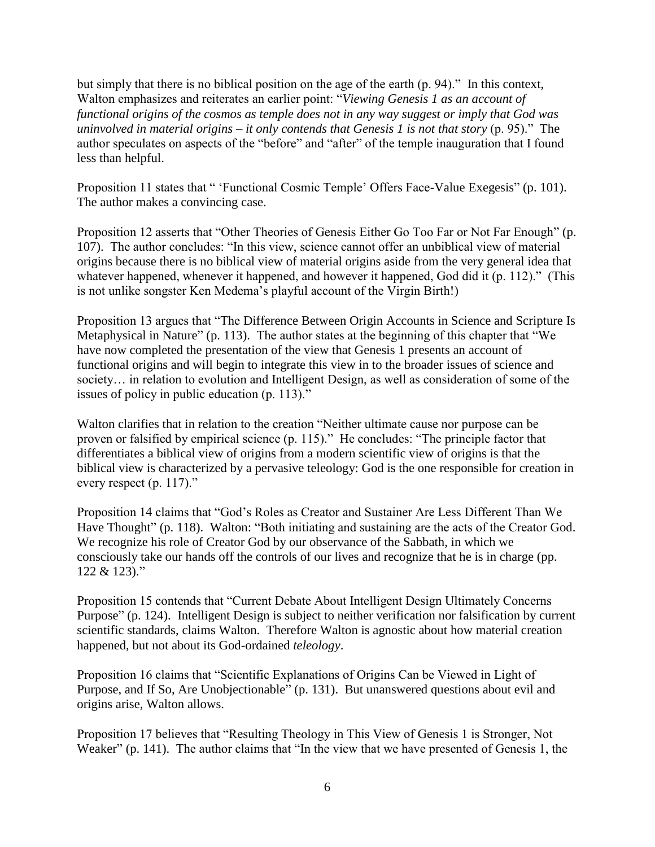but simply that there is no biblical position on the age of the earth (p. 94)." In this context, Walton emphasizes and reiterates an earlier point: "*Viewing Genesis 1 as an account of functional origins of the cosmos as temple does not in any way suggest or imply that God was uninvolved in material origins – it only contends that Genesis 1 is not that story* (p. 95)." The author speculates on aspects of the "before" and "after" of the temple inauguration that I found less than helpful.

Proposition 11 states that " 'Functional Cosmic Temple' Offers Face-Value Exegesis" (p. 101). The author makes a convincing case.

Proposition 12 asserts that "Other Theories of Genesis Either Go Too Far or Not Far Enough" (p. 107). The author concludes: "In this view, science cannot offer an unbiblical view of material origins because there is no biblical view of material origins aside from the very general idea that whatever happened, whenever it happened, and however it happened, God did it (p. 112)." (This is not unlike songster Ken Medema's playful account of the Virgin Birth!)

Proposition 13 argues that "The Difference Between Origin Accounts in Science and Scripture Is Metaphysical in Nature" (p. 113). The author states at the beginning of this chapter that "We have now completed the presentation of the view that Genesis 1 presents an account of functional origins and will begin to integrate this view in to the broader issues of science and society… in relation to evolution and Intelligent Design, as well as consideration of some of the issues of policy in public education (p. 113)."

Walton clarifies that in relation to the creation "Neither ultimate cause nor purpose can be proven or falsified by empirical science (p. 115)." He concludes: "The principle factor that differentiates a biblical view of origins from a modern scientific view of origins is that the biblical view is characterized by a pervasive teleology: God is the one responsible for creation in every respect (p. 117)."

Proposition 14 claims that "God's Roles as Creator and Sustainer Are Less Different Than We Have Thought" (p. 118). Walton: "Both initiating and sustaining are the acts of the Creator God. We recognize his role of Creator God by our observance of the Sabbath, in which we consciously take our hands off the controls of our lives and recognize that he is in charge (pp. 122 & 123)."

Proposition 15 contends that "Current Debate About Intelligent Design Ultimately Concerns Purpose" (p. 124). Intelligent Design is subject to neither verification nor falsification by current scientific standards, claims Walton. Therefore Walton is agnostic about how material creation happened, but not about its God-ordained *teleology*.

Proposition 16 claims that "Scientific Explanations of Origins Can be Viewed in Light of Purpose, and If So, Are Unobjectionable" (p. 131). But unanswered questions about evil and origins arise, Walton allows.

Proposition 17 believes that "Resulting Theology in This View of Genesis 1 is Stronger, Not Weaker" (p. 141). The author claims that "In the view that we have presented of Genesis 1, the